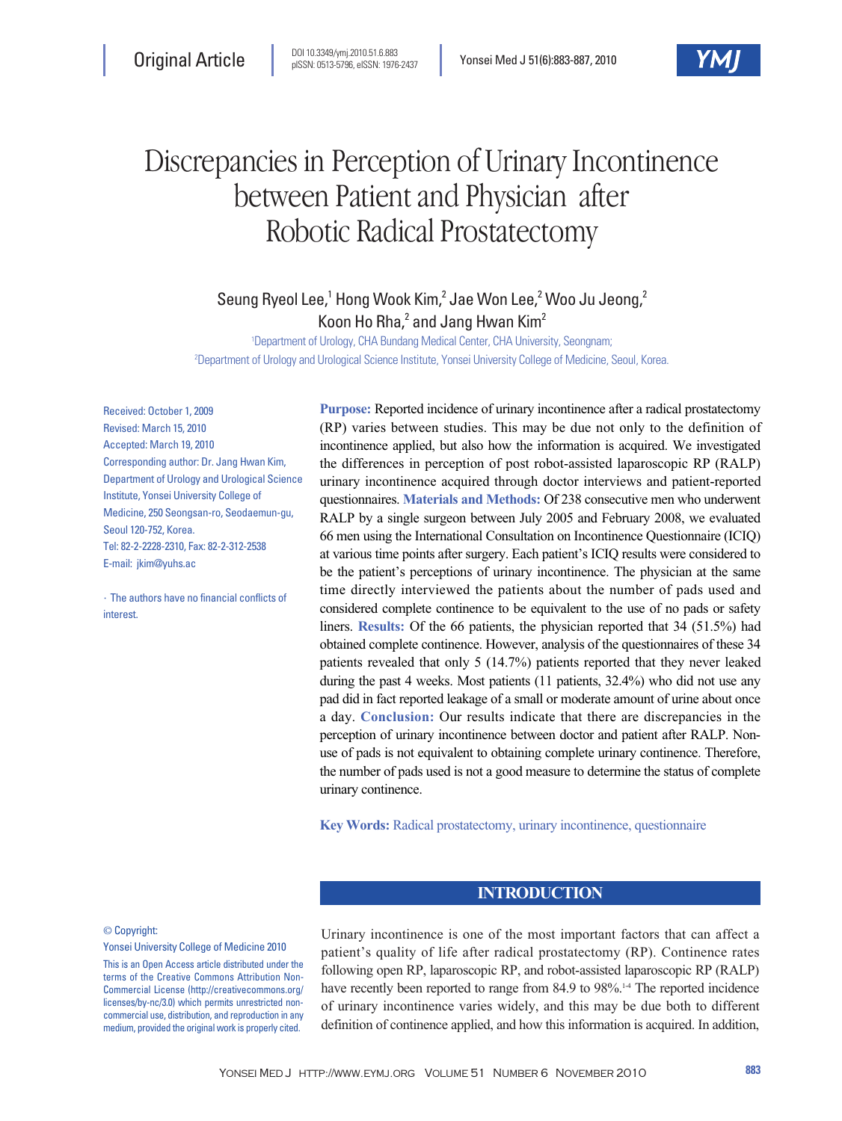

# Discrepancies in Perception of Urinary Incontinence between Patient and Physician after Robotic Radical Prostatectomy

Seung Ryeol Lee,<sup>1</sup> Hong Wook Kim,<sup>2</sup> Jae Won Lee,<sup>2</sup> Woo Ju Jeong,<sup>2</sup> Koon Ho Rha,<sup>2</sup> and Jang Hwan Kim<sup>2</sup>

1 Department of Urology, CHA Bundang Medical Center, CHA University, Seongnam; 2 Department of Urology and Urological Science Institute, Yonsei University College of Medicine, Seoul, Korea.

Received: October 1, 2009 Revised: March 15, 2010 Accepted: March 19, 2010 Corresponding author: Dr. Jang Hwan Kim, Department of Urology and Urological Science Institute, Yonsei University College of Medicine, 250 Seongsan-ro, Seodaemun-gu, Seoul 120-752, Korea. Tel: 82-2-2228-2310, Fax: 82-2-312-2538 E-mail: jkim@yuhs.ac

∙The authors have no financial conflicts of interest.

**Purpose:** Reported incidence of urinary incontinence after a radical prostatectomy (RP) varies between studies. This may be due not only to the definition of incontinence applied, but also how the information is acquired. We investigated the differences in perception of post robot-assisted laparoscopic RP (RALP) urinary incontinence acquired through doctor interviews and patient-reported questionnaires. **Materials and Methods:** Of 238 consecutive men who underwent RALP by a single surgeon between July 2005 and February 2008, we evaluated 66 men using the International Consultation on Incontinence Questionnaire (ICIQ) at various time points after surgery. Each patient's ICIQ results were considered to be the patient's perceptions of urinary incontinence. The physician at the same time directly interviewed the patients about the number of pads used and considered complete continence to be equivalent to the use of no pads or safety liners. **Results:** Of the 66 patients, the physician reported that 34 (51.5%) had obtained complete continence. However, analysis of the questionnaires of these 34 patients revealed that only 5 (14.7%) patients reported that they never leaked during the past 4 weeks. Most patients (11 patients, 32.4%) who did not use any pad did in fact reported leakage of a small or moderate amount of urine about once a day. **Conclusion:** Our results indicate that there are discrepancies in the perception of urinary incontinence between doctor and patient after RALP. Nonuse of pads is not equivalent to obtaining complete urinary continence. Therefore, the number of pads used is not a good measure to determine the status of complete urinary continence.

**Key Words:** Radical prostatectomy, urinary incontinence, questionnaire

# **INTRODUCTION**

#### © Copyright:

#### Yonsei University College of Medicine 2010

This is an Open Access article distributed under the terms of the Creative Commons Attribution Non-Commercial License (http://creativecommons.org/ licenses/by-nc/3.0) which permits unrestricted noncommercial use, distribution, and reproduction in any medium, provided the original work is properly cited.

Urinary incontinence is one of the most important factors that can affect a patient's quality of life after radical prostatectomy (RP). Continence rates following open RP, laparoscopic RP, and robot-assisted laparoscopic RP (RALP) have recently been reported to range from 84.9 to 98%.<sup>14</sup> The reported incidence of urinary incontinence varies widely, and this may be due both to different definition of continence applied, and how this information is acquired. In addition,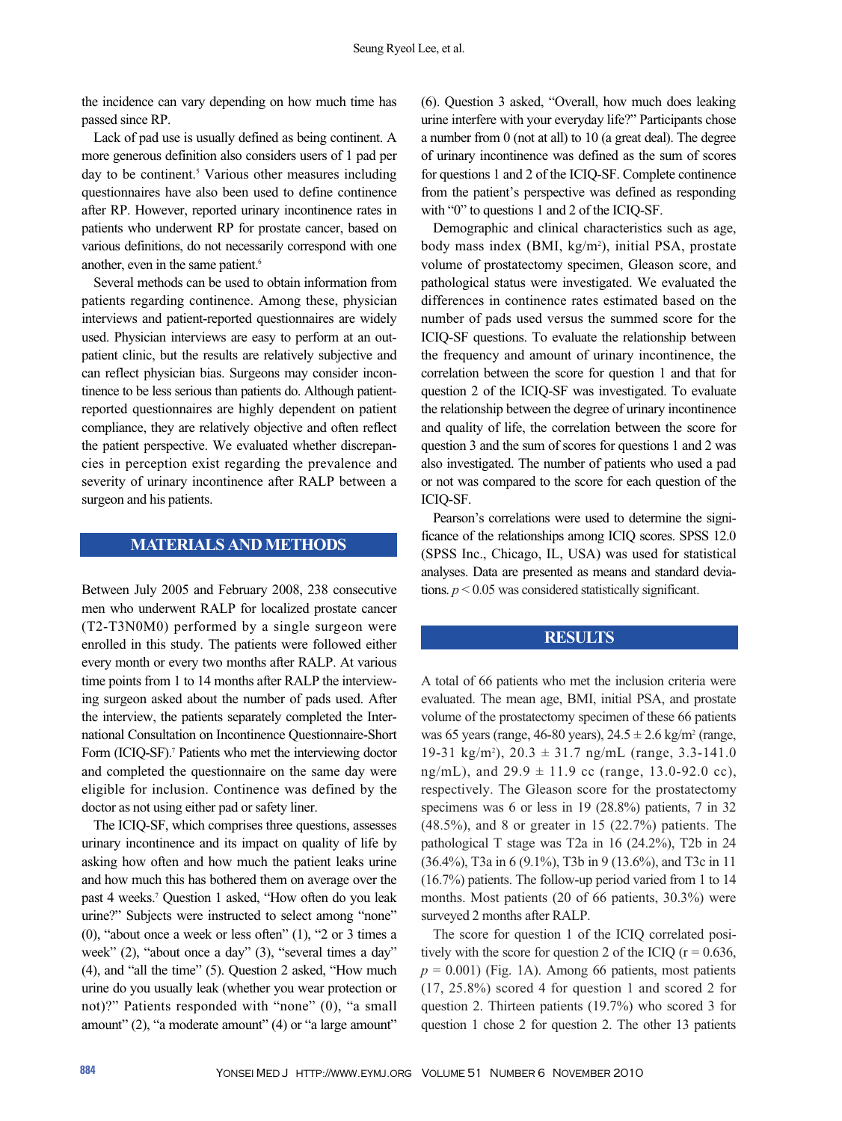the incidence can vary depending on how much time has passed since RP.

Lack of pad use is usually defined as being continent. A more generous definition also considers users of 1 pad per day to be continent.<sup>5</sup> Various other measures including questionnaires have also been used to define continence after RP. However, reported urinary incontinence rates in patients who underwent RP for prostate cancer, based on various definitions, do not necessarily correspond with one another, even in the same patient.<sup>6</sup>

Several methods can be used to obtain information from patients regarding continence. Among these, physician interviews and patient-reported questionnaires are widely used. Physician interviews are easy to perform at an outpatient clinic, but the results are relatively subjective and can reflect physician bias. Surgeons may consider incontinence to be less serious than patients do. Although patientreported questionnaires are highly dependent on patient compliance, they are relatively objective and often reflect the patient perspective. We evaluated whether discrepancies in perception exist regarding the prevalence and severity of urinary incontinence after RALP between a surgeon and his patients.

## **MATERIALS AND METHODS**

Between July 2005 and February 2008, 238 consecutive men who underwent RALP for localized prostate cancer (T2-T3N0M0) performed by a single surgeon were enrolled in this study. The patients were followed either every month or every two months after RALP. At various time points from 1 to 14 months after RALP the interviewing surgeon asked about the number of pads used. After the interview, the patients separately completed the International Consultation on Incontinence Questionnaire-Short Form (ICIO-SF).<sup>7</sup> Patients who met the interviewing doctor and completed the questionnaire on the same day were eligible for inclusion. Continence was defined by the doctor as not using either pad or safety liner.

The ICIQ-SF, which comprises three questions, assesses urinary incontinence and its impact on quality of life by asking how often and how much the patient leaks urine and how much this has bothered them on average over the past 4 weeks.<sup>7</sup> Question 1 asked, "How often do you leak urine?" Subjects were instructed to select among "none" (0), "about once a week or less often" (1), "2 or 3 times a week" (2), "about once a day" (3), "several times a day" (4), and "all the time" (5). Question 2 asked, "How much urine do you usually leak (whether you wear protection or not)?" Patients responded with "none" (0), "a small amount" (2), "a moderate amount" (4) or "a large amount" (6). Question 3 asked, "Overall, how much does leaking urine interfere with your everyday life?" Participants chose a number from 0 (not at all) to 10 (a great deal). The degree of urinary incontinence was defined as the sum of scores for questions 1 and 2 of the ICIQ-SF. Complete continence from the patient's perspective was defined as responding with "0" to questions 1 and 2 of the ICIQ-SF.

Demographic and clinical characteristics such as age, body mass index (BMI, kg/m<sup>2</sup>), initial PSA, prostate volume of prostatectomy specimen, Gleason score, and pathological status were investigated. We evaluated the differences in continence rates estimated based on the number of pads used versus the summed score for the ICIQ-SF questions. To evaluate the relationship between the frequency and amount of urinary incontinence, the correlation between the score for question 1 and that for question 2 of the ICIQ-SF was investigated. To evaluate the relationship between the degree of urinary incontinence and quality of life, the correlation between the score for question 3 and the sum of scores for questions 1 and 2 was also investigated. The number of patients who used a pad or not was compared to the score for each question of the ICIQ-SF.

Pearson's correlations were used to determine the significance of the relationships among ICIQ scores. SPSS 12.0 (SPSS Inc., Chicago, IL, USA) was used for statistical analyses. Data are presented as means and standard deviations.  $p < 0.05$  was considered statistically significant.

#### **RESULTS**

A total of 66 patients who met the inclusion criteria were evaluated. The mean age, BMI, initial PSA, and prostate volume of the prostatectomy specimen of these 66 patients was 65 years (range, 46-80 years),  $24.5 \pm 2.6$  kg/m<sup>2</sup> (range, 19-31 kg/m<sup>2</sup>), 20.3  $\pm$  31.7 ng/mL (range, 3.3-141.0) ng/mL), and  $29.9 \pm 11.9$  cc (range, 13.0-92.0 cc), respectively. The Gleason score for the prostatectomy specimens was 6 or less in 19 (28.8%) patients, 7 in 32 (48.5%), and 8 or greater in 15 (22.7%) patients. The pathological T stage was T2a in 16 (24.2%), T2b in 24 (36.4%), T3a in 6 (9.1%), T3b in 9 (13.6%), and T3c in 11 (16.7%) patients. The follow-up period varied from 1 to 14 months. Most patients (20 of 66 patients, 30.3%) were surveyed 2 months after RALP.

The score for question 1 of the ICIQ correlated positively with the score for question 2 of the ICIQ ( $r = 0.636$ ,  $p = 0.001$ ) (Fig. 1A). Among 66 patients, most patients (17, 25.8%) scored 4 for question 1 and scored 2 for question 2. Thirteen patients (19.7%) who scored 3 for question 1 chose 2 for question 2. The other 13 patients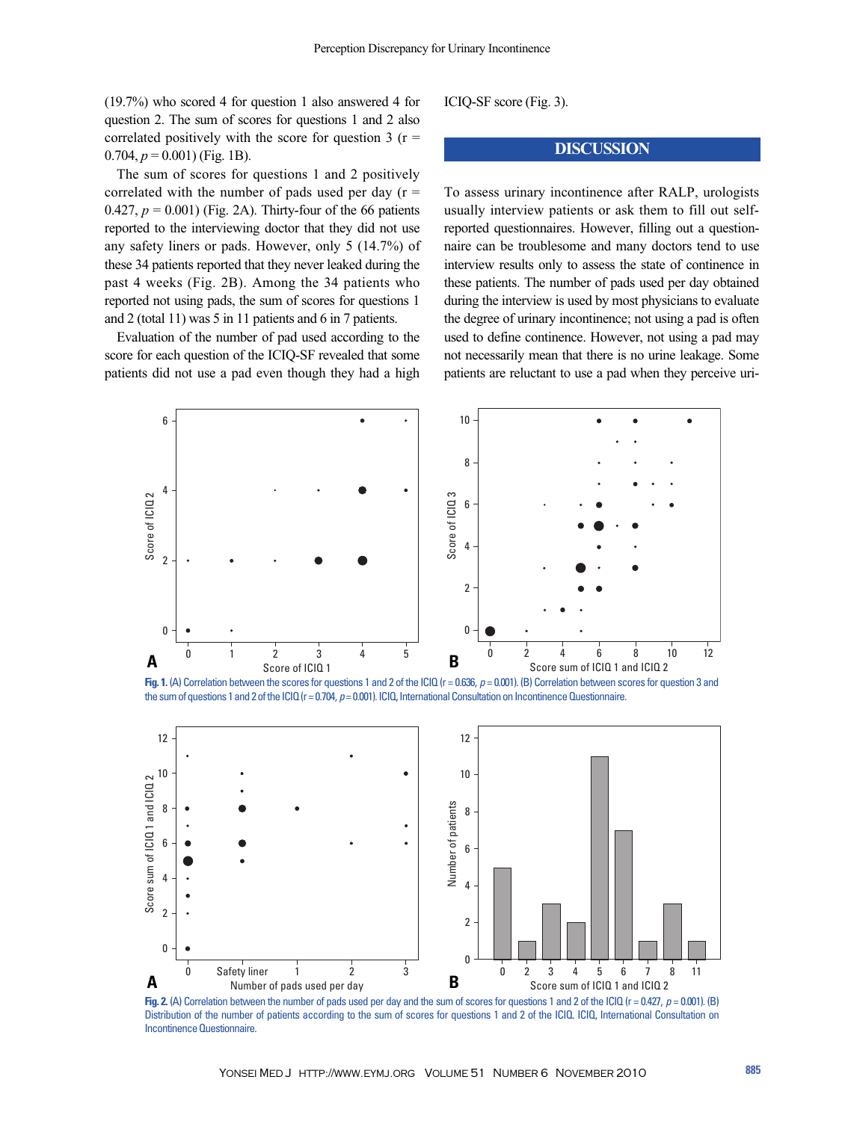(19.7%) who scored 4 for question 1 also answered 4 for question 2. The sum of scores for questions 1 and 2 also correlated positively with the score for question 3 ( $r =$  $0.704, p = 0.001$ ) (Fig. 1B).

The sum of scores for questions 1 and 2 positively correlated with the number of pads used per day  $(r =$ 0.427,  $p = 0.001$ ) (Fig. 2A). Thirty-four of the 66 patients reported to the interviewing doctor that they did not use any safety liners or pads. However, only 5 (14.7%) of these 34 patients reported that they never leaked during the past 4 weeks (Fig. 2B). Among the 34 patients who reported not using pads, the sum of scores for questions 1 and 2 (total 11) was 5 in 11 patients and 6 in 7 patients.

Evaluation of the number of pad used according to the score for each question of the ICIQ-SF revealed that some patients did not use a pad even though they had a high ICIQ-SF score (Fig. 3).

### **DISCUSSION**

To assess urinary incontinence after RALP, urologists usually interview patients or ask them to fill out selfreported questionnaires. However, filling out a questionnaire can be troublesome and many doctors tend to use interview results only to assess the state of continence in these patients. The number of pads used per day obtained during the interview is used by most physicians to evaluate the degree of urinary incontinence; not using a pad is often used to define continence. However, not using a pad may not necessarily mean that there is no urine leakage. Some patients are reluctant to use a pad when they perceive uri-



**Fig. 1.** (A) Correlation between the scores for questions 1 and 2 of the ICIQ (r = 0.636,  $p = 0.001$ ). (B) Correlation between scores for question 3 and the sum of questions 1 and 2 of the ICIQ (r = 0.704, p = 0.001). ICIQ, International Consultation on Incontinence Questionnaire.



**Fig. 2.** (A) Correlation between the number of pads used per day and the sum of scores for questions 1 and 2 of the ICIQ (r = 0.427, *p* = 0.001). (B) Distribution of the number of patients according to the sum of scores for questions 1 and 2 of the ICIQ. ICIQ, International Consultation on Incontinence Questionnaire.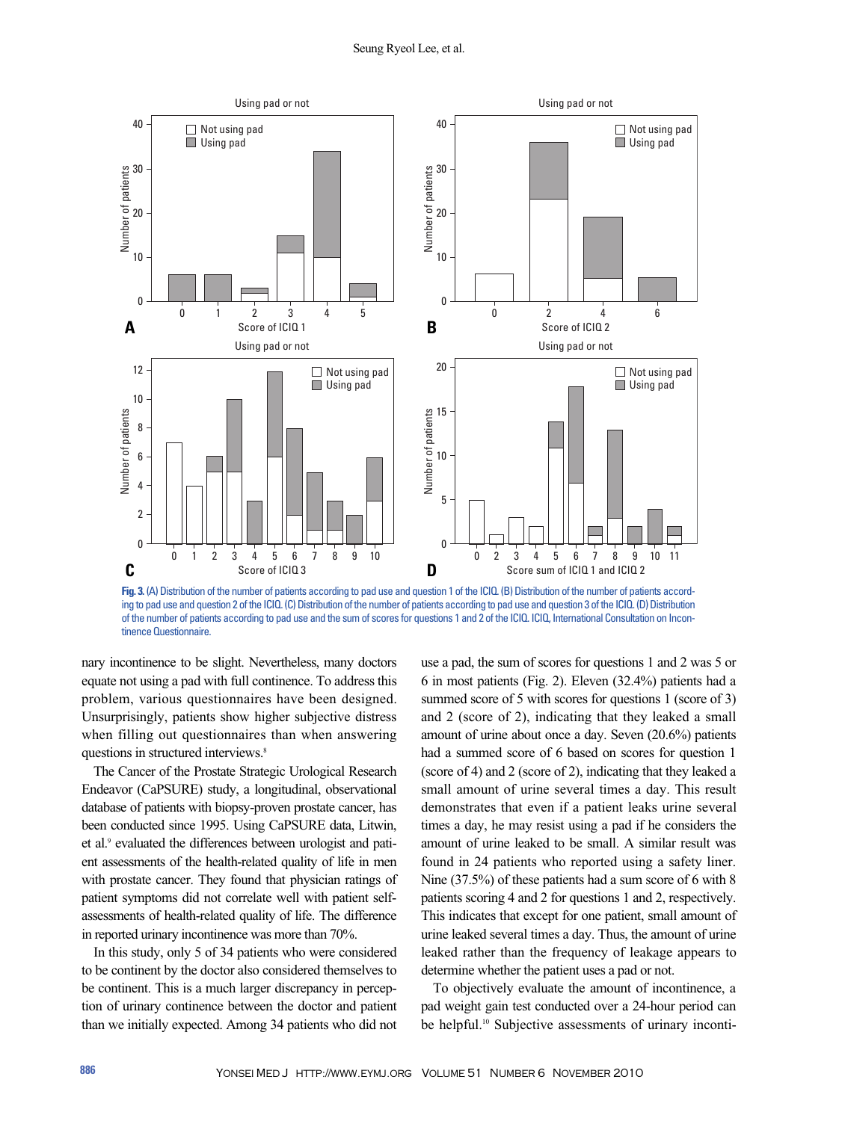

**Fig. 3.** (A) Distribution of the number of patients according to pad use and question 1 of the ICIQ. (B) Distribution of the number of patients according to pad use and question 2 of the ICIQ. (C) Distribution of the number of patients according to pad use and question 3 of the ICIQ. (D) Distribution of the number of patients according to pad use and the sum of scores for questions 1 and 2 of the ICIQ. ICIQ, International Consultation on Incontinence Questionnaire.

nary incontinence to be slight. Nevertheless, many doctors equate not using a pad with full continence. To address this problem, various questionnaires have been designed. Unsurprisingly, patients show higher subjective distress when filling out questionnaires than when answering questions in structured interviews.<sup>8</sup>

The Cancer of the Prostate Strategic Urological Research Endeavor (CaPSURE) study, a longitudinal, observational database of patients with biopsy-proven prostate cancer, has been conducted since 1995. Using CaPSURE data, Litwin, et al.<sup>9</sup> evaluated the differences between urologist and patient assessments of the health-related quality of life in men with prostate cancer. They found that physician ratings of patient symptoms did not correlate well with patient selfassessments of health-related quality of life. The difference in reported urinary incontinence was more than 70%.

In this study, only 5 of 34 patients who were considered to be continent by the doctor also considered themselves to be continent. This is a much larger discrepancy in perception of urinary continence between the doctor and patient than we initially expected. Among 34 patients who did not use a pad, the sum of scores for questions 1 and 2 was 5 or 6 in most patients (Fig. 2). Eleven (32.4%) patients had a summed score of 5 with scores for questions 1 (score of 3) and 2 (score of 2), indicating that they leaked a small amount of urine about once a day. Seven (20.6%) patients had a summed score of 6 based on scores for question 1 (score of 4) and 2 (score of 2), indicating that they leaked a small amount of urine several times a day. This result demonstrates that even if a patient leaks urine several times a day, he may resist using a pad if he considers the amount of urine leaked to be small. A similar result was found in 24 patients who reported using a safety liner. Nine (37.5%) of these patients had a sum score of 6 with 8 patients scoring 4 and 2 for questions 1 and 2, respectively. This indicates that except for one patient, small amount of urine leaked several times a day. Thus, the amount of urine leaked rather than the frequency of leakage appears to determine whether the patient uses a pad or not.

To objectively evaluate the amount of incontinence, a pad weight gain test conducted over a 24-hour period can be helpful.<sup>10</sup> Subjective assessments of urinary inconti